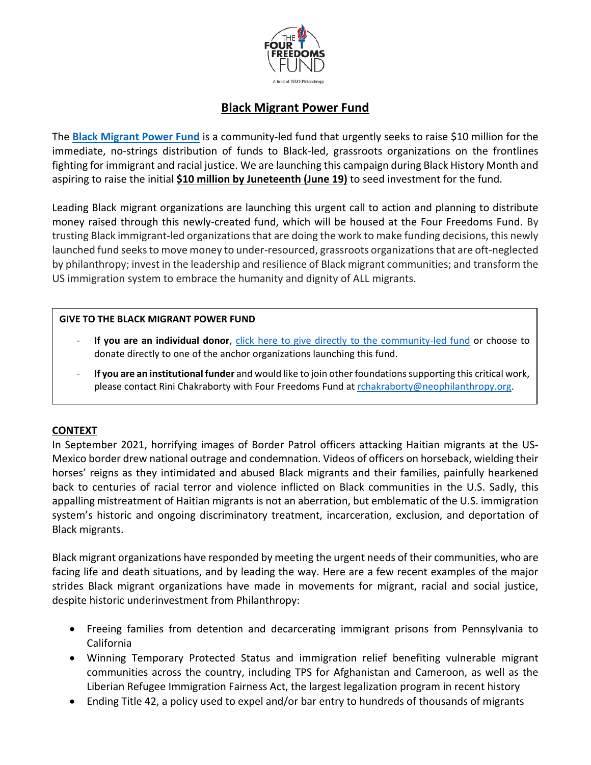

# **Black Migrant Power Fund**

The **[Black Migrant Power Fund](http://www.blackmigrantpowerfund.org/)** is a community-led fund that urgently seeks to raise \$10 million for the immediate, no-strings distribution of funds to Black-led, grassroots organizations on the frontlines fighting for immigrant and racial justice. We are launching this campaign during Black History Month and aspiring to raise the initial **\$10 million by Juneteenth (June 19)** to seed investment for the fund.

Leading Black migrant organizations are launching this urgent call to action and planning to distribute money raised through this newly-created fund, which will be housed at the Four Freedoms Fund. By trusting Black immigrant-led organizations that are doing the work to make funding decisions, this newly launched fund seeks to move money to under-resourced, grassroots organizations that are oft-neglected by philanthropy; invest in the leadership and resilience of Black migrant communities; and transform the US immigration system to embrace the humanity and dignity of ALL migrants.

## **GIVE TO THE BLACK MIGRANT POWER FUND**

- If you are an individual donor, [click here to give directly to the community-led fund](https://donatenow.networkforgood.org/blackmigrantpowerfund) or choose to donate directly to one of the anchor organizations launching this fund.
- **If you are an institutional funder** and would like to join other foundations supporting this critical work, please contact Rini Chakraborty with Four Freedoms Fund at [rchakraborty@neophilanthropy.org.](mailto:rchakraborty@neophilanthropy.org)

# **CONTEXT**

In September 2021, horrifying images of Border Patrol officers attacking Haitian migrants at the US-Mexico border drew national outrage and condemnation. Videos of officers on horseback, wielding their horses' reigns as they intimidated and abused Black migrants and their families, painfully hearkened back to centuries of racial terror and violence inflicted on Black communities in the U.S. Sadly, this appalling mistreatment of Haitian migrants is not an aberration, but emblematic of the U.S. immigration system's historic and ongoing discriminatory treatment, incarceration, exclusion, and deportation of Black migrants.

Black migrant organizations have responded by meeting the urgent needs of their communities, who are facing life and death situations, and by leading the way. Here are a few recent examples of the major strides Black migrant organizations have made in movements for migrant, racial and social justice, despite historic underinvestment from Philanthropy:

- Freeing families from detention and decarcerating immigrant prisons from Pennsylvania to California
- Winning Temporary Protected Status and immigration relief benefiting vulnerable migrant communities across the country, including TPS for Afghanistan and Cameroon, as well as the Liberian Refugee Immigration Fairness Act, the largest legalization program in recent history
- Ending Title 42, a policy used to expel and/or bar entry to hundreds of thousands of migrants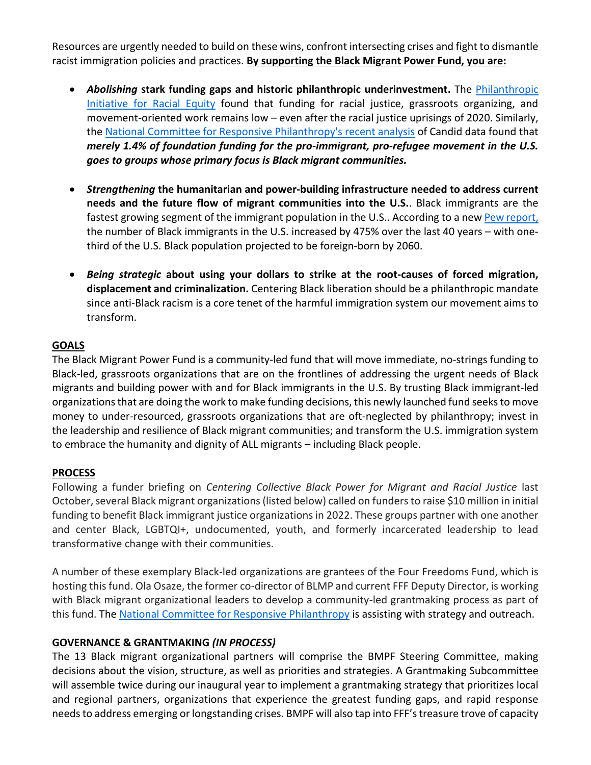Resources are urgently needed to build on these wins, confront intersecting crises and fight to dismantle racist immigration policies and practices. **By supporting the Black Migrant Power Fund, you are:**

- *Abolishing* **stark funding gaps and historic philanthropic underinvestment.** The [Philanthropic](https://racialequity.org/mismatched/)  [Initiative for Racial Equity](https://racialequity.org/mismatched/) found that funding for racial justice, grassroots organizing, and movement-oriented work remains low – even after the racial justice uprisings of 2020. Similarly, the [National Committee for Responsive Philanthropy's recent analysis](https://www.ncrp.org/2022/05/black-migrant-justice-groups-deserve-more-than-a-drop-in-the-bucket.html) of Candid data found that *merely 1.4% of foundation funding for the pro-immigrant, pro-refugee movement in the U.S. goes to groups whose primary focus is Black migrant communities.*
- *Strengthening* **the humanitarian and power-building infrastructure needed to address current needs and the future flow of migrant communities into the U.S.**. Black immigrants are the fastest growing segment of the immigrant population in the U.S.. According to a new [Pew report,](https://nam02.safelinks.protection.outlook.com/?url=https%3A%2F%2Flink.axios.com%2Fclick%2F26562886.91313%2FaHR0cHM6Ly93d3cucGV3cmVzZWFyY2gub3JnL2ZhY3QtdGFuay8yMDIyLzAxLzI3L2tleS1maW5kaW5ncy1hYm91dC1ibGFjay1pbW1pZ3JhbnRzLWluLXRoZS11LXMvP3V0bV9zb3VyY2U9bmV3c2xldHRlciZ1dG1fbWVkaXVtPWVtYWlsJnV0bV9jYW1wYWlnbj1uZXdzbGV0dGVyX2F4aW9zcG0mc3RyZWFtPXRvcA%2F591f8c17dd4c2905618b4696B358e1a2a&data=04%7C01%7CRChakraborty%40neophilanthropy.org%7C7d179064b1ce4e029b5908d9e5d30eda%7Cd0a839f8ba594bdea99f294947b9bee7%7C1%7C0%7C637793516963186149%7CUnknown%7CTWFpbGZsb3d8eyJWIjoiMC4wLjAwMDAiLCJQIjoiV2luMzIiLCJBTiI6Ik1haWwiLCJXVCI6Mn0%3D%7C3000&sdata=pOl1Ief4ufTSk11J5yhQrOVXY6YfBEaaFSxjzYPzQL4%3D&reserved=0) the number of Black immigrants in the U.S. increased by 475% over the last 40 years – with onethird of the U.S. Black population projected to be foreign-born by 2060.
- *Being strategic* **about using your dollars to strike at the root-causes of forced migration, displacement and criminalization.** Centering Black liberation should be a philanthropic mandate since anti-Black racism is a core tenet of the harmful immigration system our movement aims to transform.

# **GOALS**

The Black Migrant Power Fund is a community-led fund that will move immediate, no-strings funding to Black-led, grassroots organizations that are on the frontlines of addressing the urgent needs of Black migrants and building power with and for Black immigrants in the U.S. By trusting Black immigrant-led organizationsthat are doing the work to make funding decisions, this newly launched fund seeks to move money to under-resourced, grassroots organizations that are oft-neglected by philanthropy; invest in the leadership and resilience of Black migrant communities; and transform the U.S. immigration system to embrace the humanity and dignity of ALL migrants – including Black people.

#### **PROCESS**

Following a funder briefing on *Centering Collective Black Power for Migrant and Racial Justice* last October, several Black migrant organizations (listed below) called on funders to raise \$10 million in initial funding to benefit Black immigrant justice organizations in 2022. These groups partner with one another and center Black, LGBTQI+, undocumented, youth, and formerly incarcerated leadership to lead transformative change with their communities.

A number of these exemplary Black-led organizations are grantees of the Four Freedoms Fund, which is hosting this fund. Ola Osaze, the former co-director of BLMP and current FFF Deputy Director, is working with Black migrant organizational leaders to develop a community-led grantmaking process as part of this fund. The [National Committee for Responsive Philanthropy](https://nam02.safelinks.protection.outlook.com/?url=https%3A%2F%2Fwww.ncrp.org%2Fabout-us&data=04%7C01%7Cegelbaum%40neophilanthropy.org%7C6028bd9421d048a8df4408d9eb4684e9%7Cd0a839f8ba594bdea99f294947b9bee7%7C1%7C0%7C637799510391779733%7CUnknown%7CTWFpbGZsb3d8eyJWIjoiMC4wLjAwMDAiLCJQIjoiV2luMzIiLCJBTiI6Ik1haWwiLCJXVCI6Mn0%3D%7C3000&sdata=%2FjxgRBTOgvP91XmdD04NJXJ7EN3zm94FQhA5wWyIavg%3D&reserved=0) is assisting with strategy and outreach.

#### **GOVERNANCE & GRANTMAKING** *(IN PROCESS)*

The 13 Black migrant organizational partners will comprise the BMPF Steering Committee, making decisions about the vision, structure, as well as priorities and strategies. A Grantmaking Subcommittee will assemble twice during our inaugural year to implement a grantmaking strategy that prioritizes local and regional partners, organizations that experience the greatest funding gaps, and rapid response needs to address emerging or longstanding crises. BMPF will also tap into FFF's treasure trove of capacity